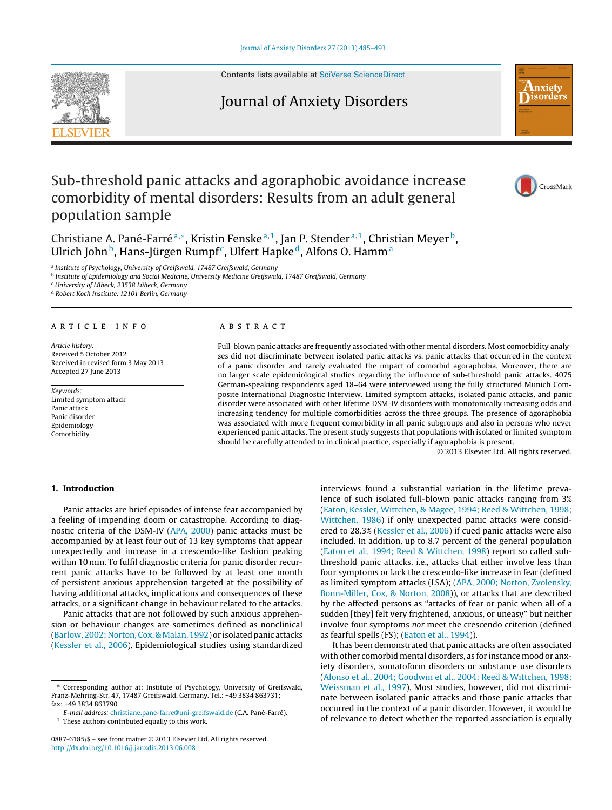Contents lists available at SciVerse [ScienceDirect](http://www.sciencedirect.com/science/journal/08876185)

# Journal of Anxiety Disorders



Christiane A. Pané-Farré<sup>a,∗</sup>, Kristin Fenske<sup>a, 1</sup>, Jan P. Stender<sup>a, 1</sup>, Christian Meyer<sup>b</sup>, Ulrich John<sup>b</sup>, Hans-Jürgen Rumpf<sup>c</sup>, Ulfert Hapke<sup>d</sup>, Alfons O. Hamm<sup>a</sup>

<sup>a</sup> Institute of Psychology, University of Greifswald, 17487 Greifswald, Germany

<sup>b</sup> Institute of Epidemiology and Social Medicine, University Medicine Greifswald, 17487 Greifswald, Germany

<sup>c</sup> University of Lübeck, 23538 Lübeck, Germany

<sup>d</sup> Robert Koch Institute, 12101 Berlin, Germany

#### a r t i c l e i n f o

Article history: Received 5 October 2012 Received in revised form 3 May 2013 Accepted 27 June 2013

Keywords: Limited symptom attack Panic attack Panic disorder Epidemiology Comorbidity

## a b s t r a c t

Full-blown panic attacks are frequently associated with other mental disorders. Most comorbidity analyses did not discriminate between isolated panic attacks vs. panic attacks that occurred in the context of a panic disorder and rarely evaluated the impact of comorbid agoraphobia. Moreover, there are no larger scale epidemiological studies regarding the influence of sub-threshold panic attacks. 4075 German-speaking respondents aged 18–64 were interviewed using the fully structured Munich Composite International Diagnostic Interview. Limited symptom attacks, isolated panic attacks, and panic disorder were associated with other lifetime DSM-IV disorders with monotonically increasing odds and increasing tendency for multiple comorbidities across the three groups. The presence of agoraphobia was associated with more frequent comorbidity in all panic subgroups and also in persons who never experienced panic attacks. The present study suggests that populations with isolated or limited symptom should be carefully attended to in clinical practice, especially if agoraphobia is present.

© 2013 Elsevier Ltd. All rights reserved.

### **1. Introduction**

Panic attacks are brief episodes of intense fear accompanied by a feeling of impending doom or catastrophe. According to diagnostic criteria of the DSM-IV ([APA,](#page--1-0) [2000\)](#page--1-0) panic attacks must be accompanied by at least four out of 13 key symptoms that appear unexpectedly and increase in a crescendo-like fashion peaking within 10 min. To fulfil diagnostic criteria for panic disorder recurrent panic attacks have to be followed by at least one month of persistent anxious apprehension targeted at the possibility of having additional attacks, implications and consequences of these attacks, or a significant change in behaviour related to the attacks.

Panic attacks that are not followed by such anxious apprehension or behaviour changes are sometimes defined as nonclinical ([Barlow,](#page--1-0) [2002;](#page--1-0) [Norton,](#page--1-0) [Cox,](#page--1-0) & Malan, [1992\)](#page--1-0) or isolated panic attacks ([Kessler](#page--1-0) et [al.,](#page--1-0) [2006\).](#page--1-0) Epidemiological studies using standardized

These authors contributed equally to this work.

interviews found a substantial variation in the lifetime prevalence of such isolated full-blown panic attacks ranging from 3% [\(Eaton,](#page--1-0) [Kessler,](#page--1-0) [Wittchen,](#page--1-0) [&](#page--1-0) [Magee,](#page--1-0) [1994;](#page--1-0) [Reed](#page--1-0) [&](#page--1-0) [Wittchen,](#page--1-0) [1998;](#page--1-0) [Wittchen,](#page--1-0) [1986\)](#page--1-0) if only unexpected panic attacks were considered to 28.3% ([Kessler](#page--1-0) et [al.,](#page--1-0) [2006\)](#page--1-0) if cued panic attacks were also included. In addition, up to 8.7 percent of the general population [\(Eaton](#page--1-0) et [al.,](#page--1-0) [1994;](#page--1-0) [Reed](#page--1-0) [&](#page--1-0) [Wittchen,](#page--1-0) [1998\)](#page--1-0) report so called subthreshold panic attacks, i.e., attacks that either involve less than four symptoms or lack the crescendo-like increase in fear (defined as limited symptom attacks (LSA); [\(APA,](#page--1-0) [2000;](#page--1-0) [Norton,](#page--1-0) [Zvolensky,](#page--1-0) [Bonn-Miller,](#page--1-0) [Cox,](#page--1-0) [&](#page--1-0) [Norton,](#page--1-0) [2008\)\)](#page--1-0), or attacks that are described by the affected persons as "attacks of fear or panic when all of a sudden [they] felt very frightened, anxious, or uneasy" but neither involve four symptoms nor meet the crescendo criterion (defined as fearful spells (FS); ([Eaton](#page--1-0) et [al.,](#page--1-0) [1994\)\)](#page--1-0).

It has been demonstrated that panic attacks are often associated with other comorbid mental disorders, as for instance mood or anxiety disorders, somatoform disorders or substance use disorders [\(Alonso](#page--1-0) et [al.,](#page--1-0) [2004;](#page--1-0) [Goodwin](#page--1-0) et [al.,](#page--1-0) [2004;](#page--1-0) [Reed](#page--1-0) [&](#page--1-0) [Wittchen,](#page--1-0) [1998;](#page--1-0) [Weissman](#page--1-0) et [al.,](#page--1-0) [1997\).](#page--1-0) Most studies, however, did not discriminate between isolated panic attacks and those panic attacks that occurred in the context of a panic disorder. However, it would be of relevance to detect whether the reported association is equally





hxiety **Nisorders** 

<sup>∗</sup> Corresponding author at: Institute of Psychology, University of Greifswald, Franz-Mehring-Str. 47, 17487 Greifswald, Germany. Tel.: +49 3834 863731; fax: +49 3834 863790.

E-mail address: [christiane.pane-farre@uni-greifswald.de](mailto:christiane.pane-farre@uni-greifswald.de) (C.A. Pané-Farré).

<sup>0887-6185/\$</sup> – see front matter © 2013 Elsevier Ltd. All rights reserved. [http://dx.doi.org/10.1016/j.janxdis.2013.06.008](dx.doi.org/10.1016/j.janxdis.2013.06.008)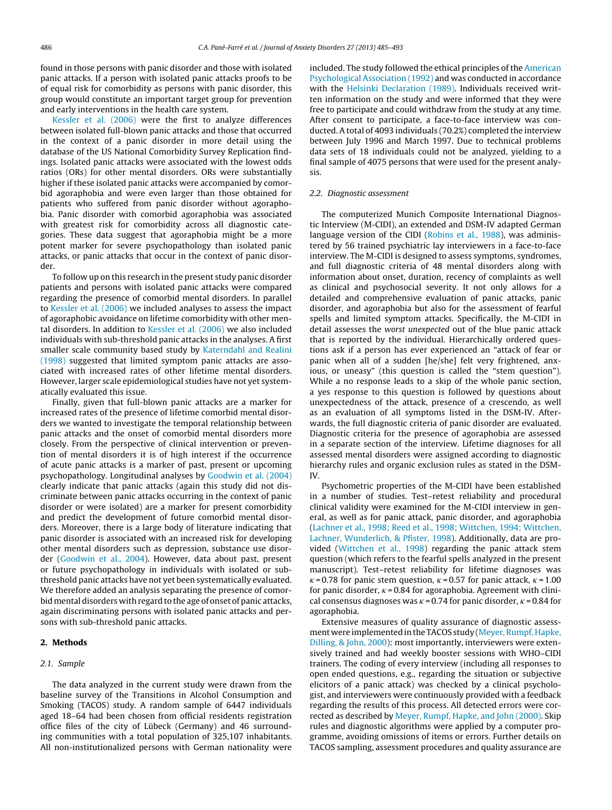found in those persons with panic disorder and those with isolated panic attacks. If a person with isolated panic attacks proofs to be of equal risk for comorbidity as persons with panic disorder, this group would constitute an important target group for prevention and early interventions in the health care system.

[Kessler](#page--1-0) et [al.](#page--1-0) [\(2006\)](#page--1-0) were the first to analyze differences between isolated full-blown panic attacks and those that occurred in the context of a panic disorder in more detail using the database of the US National Comorbidity Survey Replication findings. Isolated panic attacks were associated with the lowest odds ratios (ORs) for other mental disorders. ORs were substantially higher if these isolated panic attacks were accompanied by comorbid agoraphobia and were even larger than those obtained for patients who suffered from panic disorder without agoraphobia. Panic disorder with comorbid agoraphobia was associated with greatest risk for comorbidity across all diagnostic categories. These data suggest that agoraphobia might be a more potent marker for severe psychopathology than isolated panic attacks, or panic attacks that occur in the context of panic disorder.

To follow up on this research in the present study panic disorder patients and persons with isolated panic attacks were compared regarding the presence of comorbid mental disorders. In parallel to [Kessler](#page--1-0) et [al.](#page--1-0) [\(2006\)](#page--1-0) we included analyses to assess the impact of agoraphobic avoidance on lifetime comorbidity with other mental disorders. In addition to [Kessler](#page--1-0) et [al.](#page--1-0) [\(2006\)](#page--1-0) we also included individuals with sub-threshold panic attacks in the analyses. A first smaller scale community based study by [Katerndahl](#page--1-0) [and](#page--1-0) [Realini](#page--1-0) [\(1998\)](#page--1-0) suggested that limited symptom panic attacks are associated with increased rates of other lifetime mental disorders. However, larger scale epidemiological studies have not yet systematically evaluated this issue.

Finally, given that full-blown panic attacks are a marker for increased rates of the presence of lifetime comorbid mental disorders we wanted to investigate the temporal relationship between panic attacks and the onset of comorbid mental disorders more closely. From the perspective of clinical intervention or prevention of mental disorders it is of high interest if the occurrence of acute panic attacks is a marker of past, present or upcoming psychopathology. Longitudinal analyses by [Goodwin](#page--1-0) et [al.](#page--1-0) [\(2004\)](#page--1-0) clearly indicate that panic attacks (again this study did not discriminate between panic attacks occurring in the context of panic disorder or were isolated) are a marker for present comorbidity and predict the development of future comorbid mental disorders. Moreover, there is a large body of literature indicating that panic disorder is associated with an increased risk for developing other mental disorders such as depression, substance use disorder ([Goodwin](#page--1-0) et [al.,](#page--1-0) [2004\).](#page--1-0) However, data about past, present or future psychopathology in individuals with isolated or subthreshold panic attacks have not yet been systematically evaluated. We therefore added an analysis separating the presence of comorbidmental disorders with regard to the age of onset of panic attacks, again discriminating persons with isolated panic attacks and persons with sub-threshold panic attacks.

#### **2. Methods**

#### 2.1. Sample

The data analyzed in the current study were drawn from the baseline survey of the Transitions in Alcohol Consumption and Smoking (TACOS) study. A random sample of 6447 individuals aged 18–64 had been chosen from official residents registration office files of the city of Lübeck (Germany) and 46 surrounding communities with a total population of 325,107 inhabitants. All non-institutionalized persons with German nationality were included. The study followed the ethical principles of the [American](#page--1-0) [Psychological](#page--1-0) [Association](#page--1-0) [\(1992\)](#page--1-0) and was conducted in accordance with the [Helsinki](#page--1-0) [Declaration](#page--1-0) [\(1989\).](#page--1-0) Individuals received written information on the study and were informed that they were free to participate and could withdraw from the study at any time. After consent to participate, a face-to-face interview was conducted. A total of 4093 individuals (70.2%) completed the interview between July 1996 and March 1997. Due to technical problems data sets of 18 individuals could not be analyzed, yielding to a final sample of 4075 persons that were used for the present analysis.

#### 2.2. Diagnostic assessment

The computerized Munich Composite International Diagnostic Interview (M-CIDI), an extended and DSM-IV adapted German language version of the CIDI [\(Robins](#page--1-0) et [al.,](#page--1-0) [1988\),](#page--1-0) was administered by 56 trained psychiatric lay interviewers in a face-to-face interview. The M-CIDI is designed to assess symptoms, syndromes, and full diagnostic criteria of 48 mental disorders along with information about onset, duration, recency of complaints as well as clinical and psychosocial severity. It not only allows for a detailed and comprehensive evaluation of panic attacks, panic disorder, and agoraphobia but also for the assessment of fearful spells and limited symptom attacks. Specifically, the M-CIDI in detail assesses the worst unexpected out of the blue panic attack that is reported by the individual. Hierarchically ordered questions ask if a person has ever experienced an "attack of fear or panic when all of a sudden [he/she] felt very frightened, anxious, or uneasy" (this question is called the "stem question"). While a no response leads to a skip of the whole panic section, a yes response to this question is followed by questions about unexpectedness of the attack, presence of a crescendo, as well as an evaluation of all symptoms listed in the DSM-IV. Afterwards, the full diagnostic criteria of panic disorder are evaluated. Diagnostic criteria for the presence of agoraphobia are assessed in a separate section of the interview. Lifetime diagnoses for all assessed mental disorders were assigned according to diagnostic hierarchy rules and organic exclusion rules as stated in the DSM-IV.

Psychometric properties of the M-CIDI have been established in a number of studies. Test–retest reliability and procedural clinical validity were examined for the M-CIDI interview in general, as well as for panic attack, panic disorder, and agoraphobia [\(Lachner](#page--1-0) et [al.,](#page--1-0) [1998;](#page--1-0) [Reed](#page--1-0) et [al.,](#page--1-0) [1998;](#page--1-0) [Wittchen,](#page--1-0) [1994;](#page--1-0) [Wittchen,](#page--1-0) [Lachner,](#page--1-0) [Wunderlich,](#page--1-0) [&](#page--1-0) [Pfister,](#page--1-0) [1998\).](#page--1-0) Additionally, data are pro-vided [\(Wittchen](#page--1-0) et [al.,](#page--1-0) [1998\)](#page--1-0) regarding the panic attack stem question (which refers to the fearful spells analyzed in the present manuscript). Test–retest reliability for lifetime diagnoses was  $\kappa$  = 0.78 for panic stem question,  $\kappa$  = 0.57 for panic attack,  $\kappa$  = 1.00 for panic disorder,  $\kappa$  = 0.84 for agoraphobia. Agreement with clinical consensus diagnoses was  $\kappa$  = 0.74 for panic disorder,  $\kappa$  = 0.84 for agoraphobia.

Extensive measures of quality assurance of diagnostic assessment were implemented in the TACOS study (Meyer, Rumpf, Hapke, [Dilling,](#page--1-0) [&](#page--1-0) [John,](#page--1-0) [2000\):](#page--1-0) most importantly, interviewers were extensively trained and had weekly booster sessions with WHO–CIDI trainers. The coding of every interview (including all responses to open ended questions, e.g., regarding the situation or subjective elicitors of a panic attack) was checked by a clinical psychologist, and interviewers were continuously provided with a feedback regarding the results of this process. All detected errors were corrected as described by [Meyer,](#page--1-0) [Rumpf,](#page--1-0) [Hapke,](#page--1-0) [and](#page--1-0) [John](#page--1-0) [\(2000\).](#page--1-0) Skip rules and diagnostic algorithms were applied by a computer programme, avoiding omissions of items or errors. Further details on TACOS sampling, assessment procedures and quality assurance are